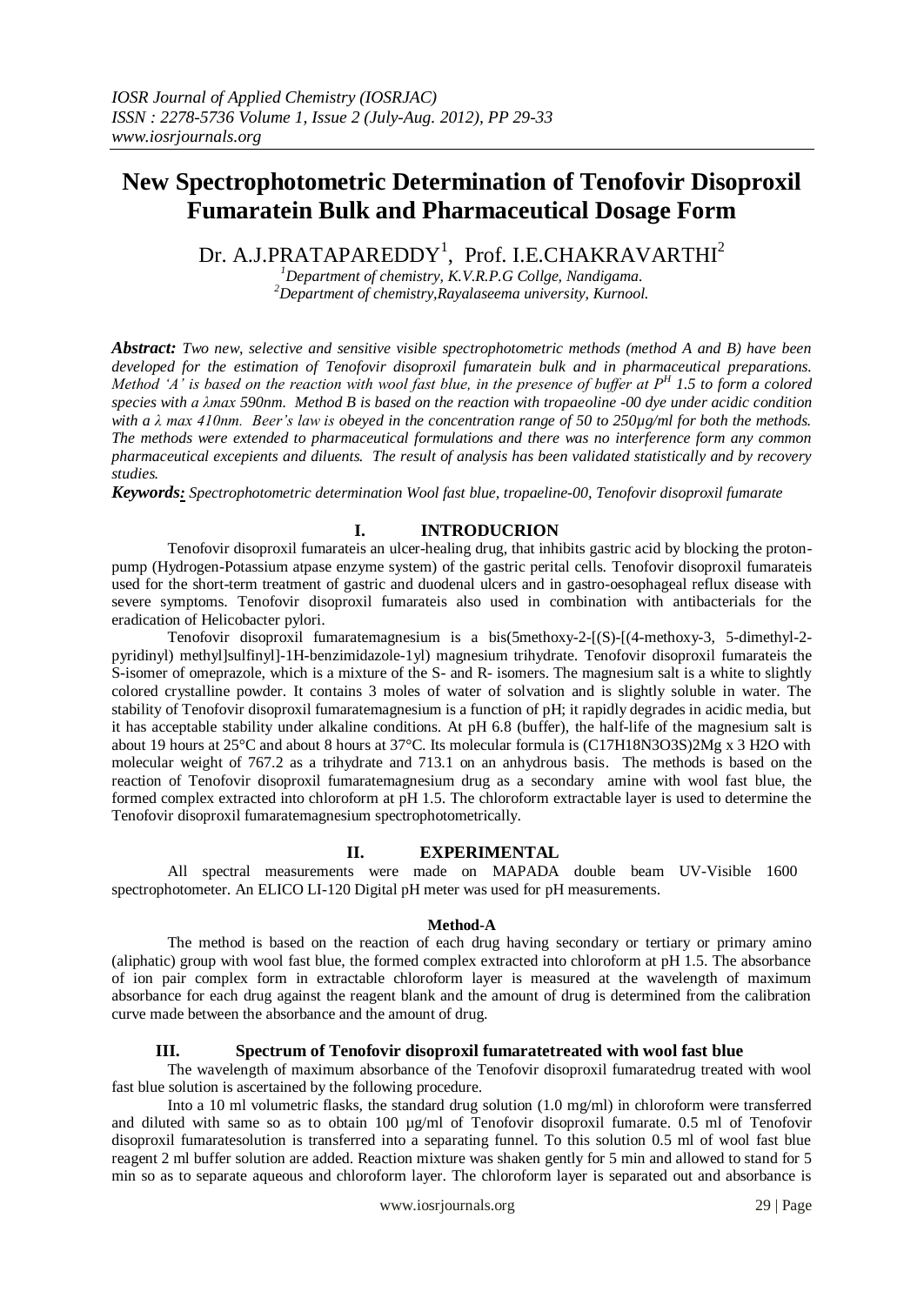# **New Spectrophotometric Determination of Tenofovir Disoproxil Fumaratein Bulk and Pharmaceutical Dosage Form**

Dr. A.J.PRATAPAREDDY<sup>1</sup>, Prof. I.E.CHAKRAVARTHI<sup>2</sup>

*<sup>1</sup>Department of chemistry, K.V.R.P.G Collge, Nandigama. <sup>2</sup>Department of chemistry,Rayalaseema university, Kurnool.* 

*Abstract: Two new, selective and sensitive visible spectrophotometric methods (method A and B) have been developed for the estimation of Tenofovir disoproxil fumaratein bulk and in pharmaceutical preparations. Method 'A' is based on the reaction with wool fast blue, in the presence of buffer at P<sup>H</sup> 1.5 to form a colored species with a λmax 590nm. Method B is based on the reaction with tropaeoline -00 dye under acidic condition with a λ max 410nm. Beer's law is obeyed in the concentration range of 50 to 250µg/ml for both the methods. The methods were extended to pharmaceutical formulations and there was no interference form any common pharmaceutical excepients and diluents. The result of analysis has been validated statistically and by recovery studies.* 

*Keywords: Spectrophotometric determination Wool fast blue, tropaeline-00, Tenofovir disoproxil fumarate*

# **I. INTRODUCRION**

Tenofovir disoproxil fumarateis an ulcer-healing drug, that inhibits gastric acid by blocking the protonpump (Hydrogen-Potassium atpase enzyme system) of the gastric perital cells. Tenofovir disoproxil fumarateis used for the short-term treatment of gastric and duodenal ulcers and in gastro-oesophageal reflux disease with severe symptoms. Tenofovir disoproxil fumarateis also used in combination with antibacterials for the eradication of Helicobacter pylori.

Tenofovir disoproxil fumaratemagnesium is a bis(5methoxy-2-[(S)-[(4-methoxy-3, 5-dimethyl-2 pyridinyl) methyl]sulfinyl]-1H-benzimidazole-1yl) magnesium trihydrate. Tenofovir disoproxil fumarateis the S-isomer of omeprazole, which is a mixture of the S- and R- isomers. The magnesium salt is a white to slightly colored crystalline powder. It contains 3 moles of water of solvation and is slightly soluble in water. The stability of Tenofovir disoproxil fumaratemagnesium is a function of pH; it rapidly degrades in acidic media, but it has acceptable stability under alkaline conditions. At pH 6.8 (buffer), the half-life of the magnesium salt is about 19 hours at 25°C and about 8 hours at 37°C. Its molecular formula is (C17H18N3O3S)2Mg x 3 H2O with molecular weight of 767.2 as a trihydrate and 713.1 on an anhydrous basis. The methods is based on the reaction of Tenofovir disoproxil fumaratemagnesium drug as a secondary amine with wool fast blue, the formed complex extracted into chloroform at pH 1.5. The chloroform extractable layer is used to determine the Tenofovir disoproxil fumaratemagnesium spectrophotometrically.

# **II. EXPERIMENTAL**

All spectral measurements were made on MAPADA double beam UV-Visible 1600 spectrophotometer. An ELICO LI-120 Digital pH meter was used for pH measurements.

#### **Method-A**

The method is based on the reaction of each drug having secondary or tertiary or primary amino (aliphatic) group with wool fast blue, the formed complex extracted into chloroform at pH 1.5. The absorbance of ion pair complex form in extractable chloroform layer is measured at the wavelength of maximum absorbance for each drug against the reagent blank and the amount of drug is determined from the calibration curve made between the absorbance and the amount of drug.

#### **III. Spectrum of Tenofovir disoproxil fumaratetreated with wool fast blue**

The wavelength of maximum absorbance of the Tenofovir disoproxil fumaratedrug treated with wool fast blue solution is ascertained by the following procedure.

Into a 10 ml volumetric flasks, the standard drug solution (1.0 mg/ml) in chloroform were transferred and diluted with same so as to obtain 100 µg/ml of Tenofovir disoproxil fumarate. 0.5 ml of Tenofovir disoproxil fumaratesolution is transferred into a separating funnel. To this solution 0.5 ml of wool fast blue reagent 2 ml buffer solution are added. Reaction mixture was shaken gently for 5 min and allowed to stand for 5 min so as to separate aqueous and chloroform layer. The chloroform layer is separated out and absorbance is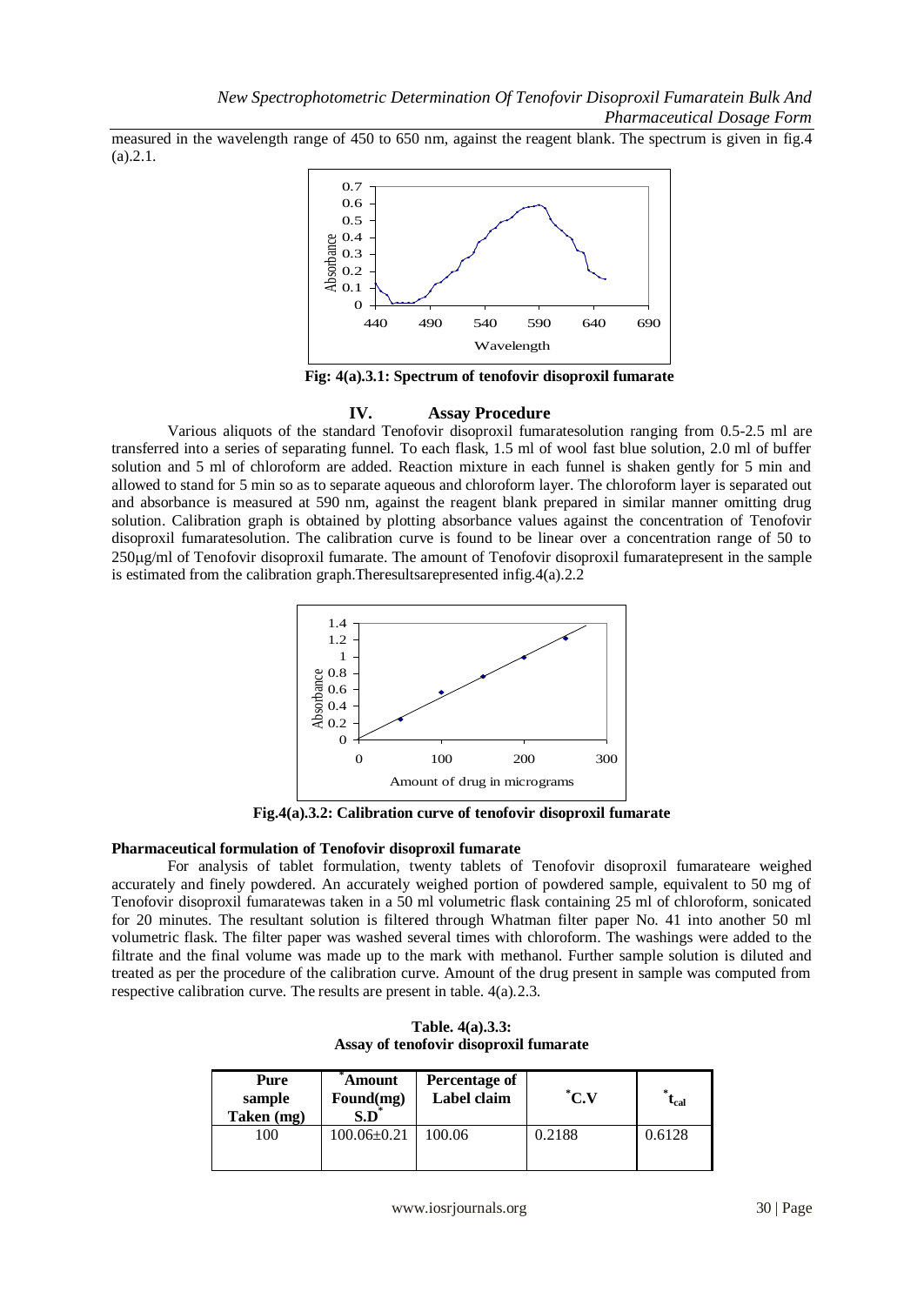measured in the wavelength range of 450 to 650 nm, against the reagent blank. The spectrum is given in fig.4 (a).2.1.



**Fig: 4(a).3.1: Spectrum of tenofovir disoproxil fumarate**

# **IV. Assay Procedure**

Various aliquots of the standard Tenofovir disoproxil fumaratesolution ranging from 0.5-2.5 ml are transferred into a series of separating funnel. To each flask, 1.5 ml of wool fast blue solution, 2.0 ml of buffer solution and 5 ml of chloroform are added. Reaction mixture in each funnel is shaken gently for 5 min and allowed to stand for 5 min so as to separate aqueous and chloroform layer. The chloroform layer is separated out and absorbance is measured at 590 nm, against the reagent blank prepared in similar manner omitting drug solution. Calibration graph is obtained by plotting absorbance values against the concentration of Tenofovir disoproxil fumaratesolution. The calibration curve is found to be linear over a concentration range of 50 to 250g/ml of Tenofovir disoproxil fumarate. The amount of Tenofovir disoproxil fumaratepresent in the sample is estimated from the calibration graph.Theresultsarepresented infig.4(a).2.2



**Fig.4(a).3.2: Calibration curve of tenofovir disoproxil fumarate**

# **Pharmaceutical formulation of Tenofovir disoproxil fumarate**

For analysis of tablet formulation, twenty tablets of Tenofovir disoproxil fumarateare weighed accurately and finely powdered. An accurately weighed portion of powdered sample, equivalent to 50 mg of Tenofovir disoproxil fumaratewas taken in a 50 ml volumetric flask containing 25 ml of chloroform, sonicated for 20 minutes. The resultant solution is filtered through Whatman filter paper No. 41 into another 50 ml volumetric flask. The filter paper was washed several times with chloroform. The washings were added to the filtrate and the final volume was made up to the mark with methanol. Further sample solution is diluted and treated as per the procedure of the calibration curve. Amount of the drug present in sample was computed from respective calibration curve. The results are present in table. 4(a).2.3.

| Pure<br>sample<br>Taken (mg) | Amount<br>Found(mg)<br>$\mathbf{S.D}^*$ | Percentage of<br>Label claim | $^{\ast}$ C.V | $\mathbf{t}_{\mathrm{cal}}$ |
|------------------------------|-----------------------------------------|------------------------------|---------------|-----------------------------|
| 100                          | $100.06 \pm 0.21$                       | 100.06                       | 0.2188        | 0.6128                      |

**Table. 4(a).3.3: Assay of tenofovir disoproxil fumarate**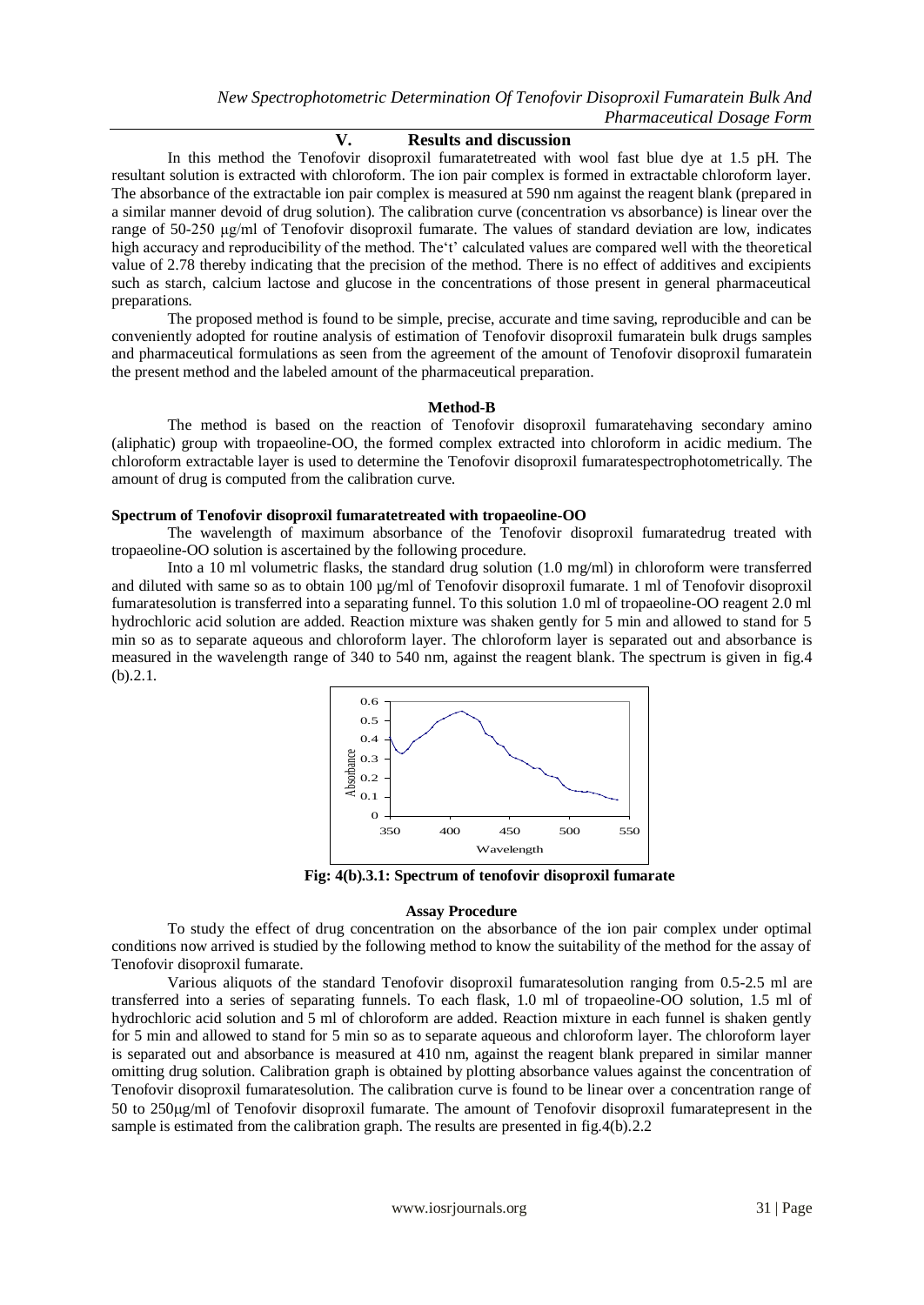### **V. Results and discussion**

In this method the Tenofovir disoproxil fumaratetreated with wool fast blue dye at 1.5 pH. The resultant solution is extracted with chloroform. The ion pair complex is formed in extractable chloroform layer. The absorbance of the extractable ion pair complex is measured at 590 nm against the reagent blank (prepared in a similar manner devoid of drug solution). The calibration curve (concentration vs absorbance) is linear over the range of 50-250 μg/ml of Tenofovir disoproxil fumarate. The values of standard deviation are low, indicates high accuracy and reproducibility of the method. The't' calculated values are compared well with the theoretical value of 2.78 thereby indicating that the precision of the method. There is no effect of additives and excipients such as starch, calcium lactose and glucose in the concentrations of those present in general pharmaceutical preparations.

The proposed method is found to be simple, precise, accurate and time saving, reproducible and can be conveniently adopted for routine analysis of estimation of Tenofovir disoproxil fumaratein bulk drugs samples and pharmaceutical formulations as seen from the agreement of the amount of Tenofovir disoproxil fumaratein the present method and the labeled amount of the pharmaceutical preparation.

#### **Method-B**

The method is based on the reaction of Tenofovir disoproxil fumaratehaving secondary amino (aliphatic) group with tropaeoline-OO, the formed complex extracted into chloroform in acidic medium. The chloroform extractable layer is used to determine the Tenofovir disoproxil fumaratespectrophotometrically. The amount of drug is computed from the calibration curve.

#### **Spectrum of Tenofovir disoproxil fumaratetreated with tropaeoline-OO**

The wavelength of maximum absorbance of the Tenofovir disoproxil fumaratedrug treated with tropaeoline-OO solution is ascertained by the following procedure.

Into a 10 ml volumetric flasks, the standard drug solution (1.0 mg/ml) in chloroform were transferred and diluted with same so as to obtain 100 µg/ml of Tenofovir disoproxil fumarate. 1 ml of Tenofovir disoproxil fumaratesolution is transferred into a separating funnel. To this solution 1.0 ml of tropaeoline-OO reagent 2.0 ml hydrochloric acid solution are added. Reaction mixture was shaken gently for 5 min and allowed to stand for 5 min so as to separate aqueous and chloroform layer. The chloroform layer is separated out and absorbance is measured in the wavelength range of 340 to 540 nm, against the reagent blank. The spectrum is given in fig.4 (b).2.1.



**Fig: 4(b).3.1: Spectrum of tenofovir disoproxil fumarate**

#### **Assay Procedure**

To study the effect of drug concentration on the absorbance of the ion pair complex under optimal conditions now arrived is studied by the following method to know the suitability of the method for the assay of Tenofovir disoproxil fumarate.

Various aliquots of the standard Tenofovir disoproxil fumaratesolution ranging from 0.5-2.5 ml are transferred into a series of separating funnels. To each flask, 1.0 ml of tropaeoline-OO solution, 1.5 ml of hydrochloric acid solution and 5 ml of chloroform are added. Reaction mixture in each funnel is shaken gently for 5 min and allowed to stand for 5 min so as to separate aqueous and chloroform layer. The chloroform layer is separated out and absorbance is measured at 410 nm, against the reagent blank prepared in similar manner omitting drug solution. Calibration graph is obtained by plotting absorbance values against the concentration of Tenofovir disoproxil fumaratesolution. The calibration curve is found to be linear over a concentration range of 50 to 250g/ml of Tenofovir disoproxil fumarate. The amount of Tenofovir disoproxil fumaratepresent in the sample is estimated from the calibration graph. The results are presented in fig.4(b).2.2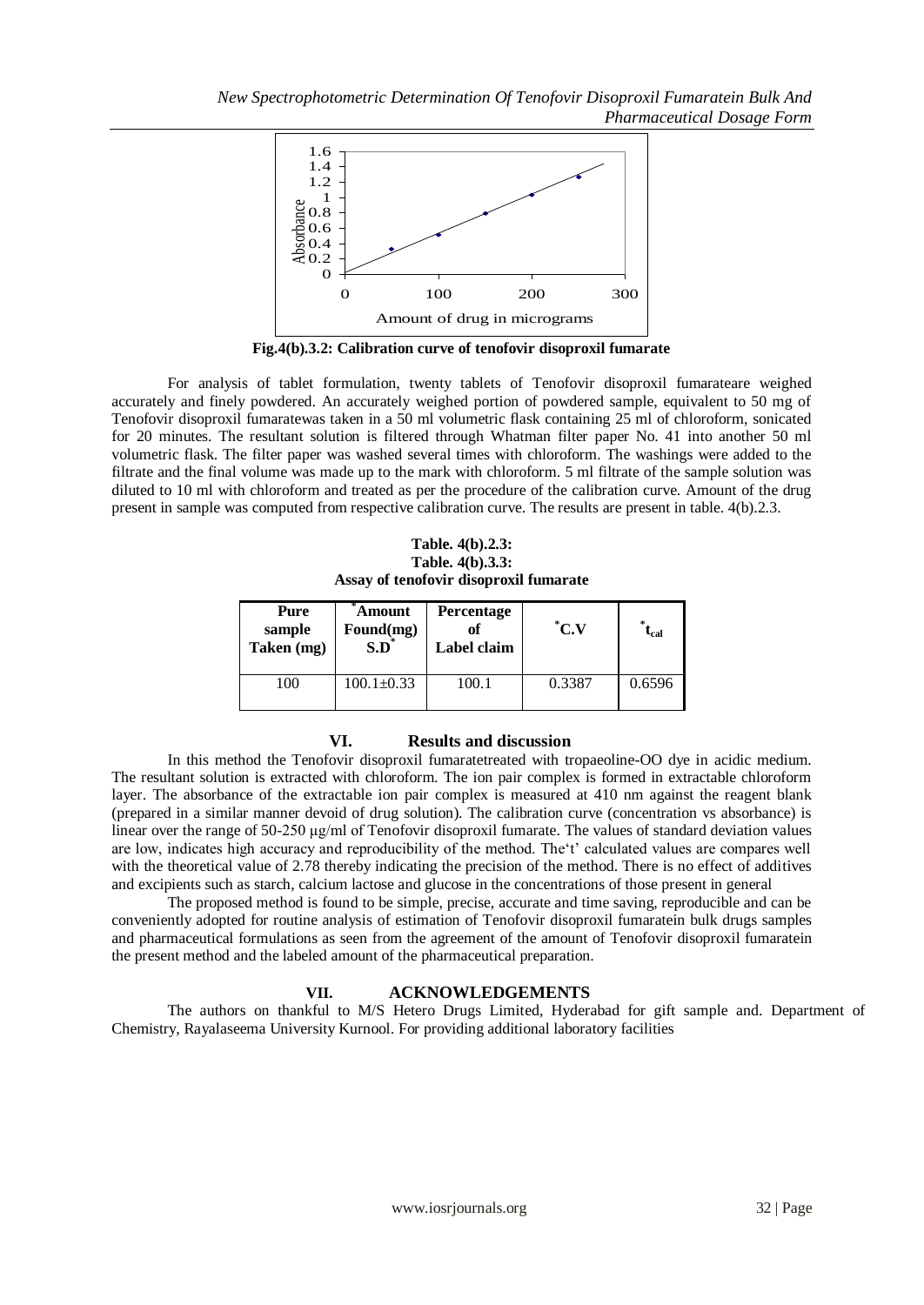*New Spectrophotometric Determination Of Tenofovir Disoproxil Fumaratein Bulk And Pharmaceutical Dosage Form*



**Fig.4(b).3.2: Calibration curve of tenofovir disoproxil fumarate** 

For analysis of tablet formulation, twenty tablets of Tenofovir disoproxil fumarateare weighed accurately and finely powdered. An accurately weighed portion of powdered sample, equivalent to 50 mg of Tenofovir disoproxil fumaratewas taken in a 50 ml volumetric flask containing 25 ml of chloroform, sonicated for 20 minutes. The resultant solution is filtered through Whatman filter paper No. 41 into another 50 ml volumetric flask. The filter paper was washed several times with chloroform. The washings were added to the filtrate and the final volume was made up to the mark with chloroform. 5 ml filtrate of the sample solution was diluted to 10 ml with chloroform and treated as per the procedure of the calibration curve. Amount of the drug present in sample was computed from respective calibration curve. The results are present in table. 4(b).2.3.

**Table. 4(b).2.3: Table. 4(b).3.3: Assay of tenofovir disoproxil fumarate**

| Pure<br>sample<br>Taken (mg) | Amount<br>Found(mg)<br>$S.D^*$ | Percentage<br>Label claim | $^{\ast}$ C.V | $\iota_{\rm cal}$ |
|------------------------------|--------------------------------|---------------------------|---------------|-------------------|
| 100                          | $100.1 \pm 0.33$               | 100.1                     | 0.3387        | 0.6596            |

#### **VI. Results and discussion**

In this method the Tenofovir disoproxil fumaratetreated with tropaeoline-OO dye in acidic medium. The resultant solution is extracted with chloroform. The ion pair complex is formed in extractable chloroform layer. The absorbance of the extractable ion pair complex is measured at 410 nm against the reagent blank (prepared in a similar manner devoid of drug solution). The calibration curve (concentration vs absorbance) is linear over the range of 50-250 μg/ml of Tenofovir disoproxil fumarate. The values of standard deviation values are low, indicates high accuracy and reproducibility of the method. The't' calculated values are compares well with the theoretical value of 2.78 thereby indicating the precision of the method. There is no effect of additives and excipients such as starch, calcium lactose and glucose in the concentrations of those present in general

The proposed method is found to be simple, precise, accurate and time saving, reproducible and can be conveniently adopted for routine analysis of estimation of Tenofovir disoproxil fumaratein bulk drugs samples and pharmaceutical formulations as seen from the agreement of the amount of Tenofovir disoproxil fumaratein the present method and the labeled amount of the pharmaceutical preparation.

#### **VII. ACKNOWLEDGEMENTS**

The authors on thankful to M/S Hetero Drugs Limited, Hyderabad for gift sample and. Department of Chemistry, Rayalaseema University Kurnool. For providing additional laboratory facilities